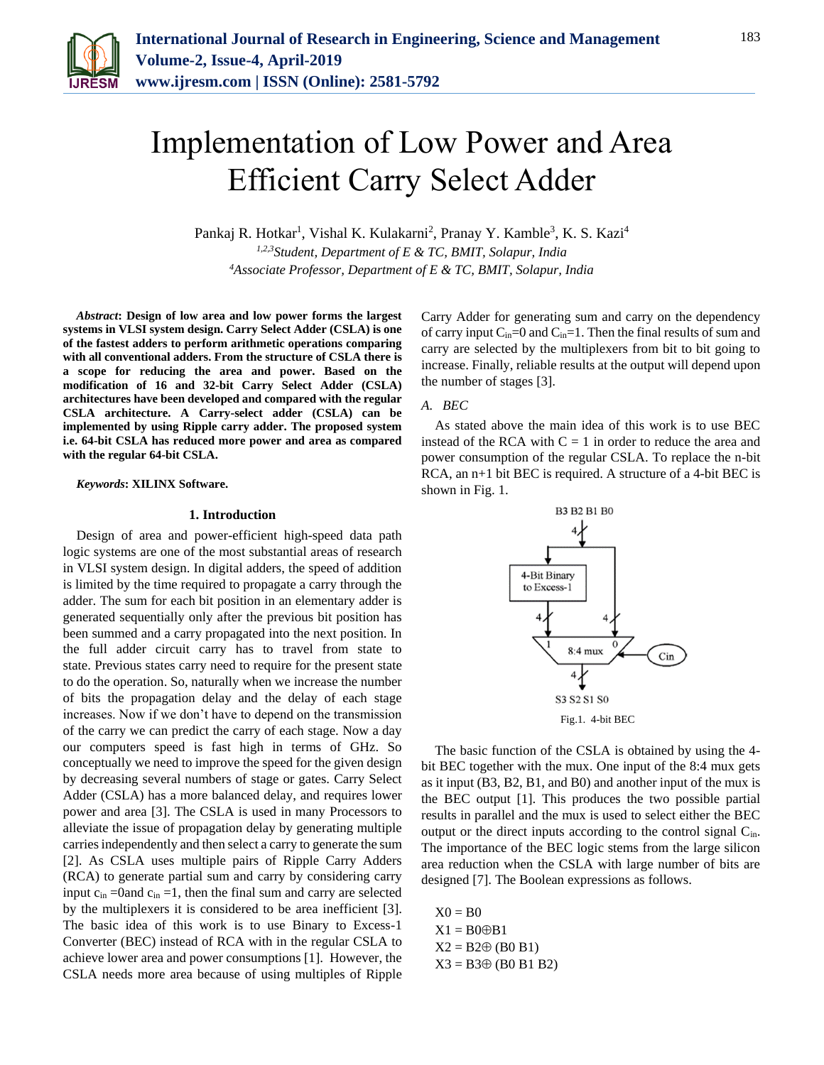

# Implementation of Low Power and Area Efficient Carry Select Adder

Pankaj R. Hotkar<sup>1</sup>, Vishal K. Kulakarni<sup>2</sup>, Pranay Y. Kamble<sup>3</sup>, K. S. Kazi<sup>4</sup> *1,2,3Student, Department of E & TC, BMIT, Solapur, India 4Associate Professor, Department of E & TC, BMIT, Solapur, India*

*Abstract***: Design of low area and low power forms the largest systems in VLSI system design. Carry Select Adder (CSLA) is one of the fastest adders to perform arithmetic operations comparing with all conventional adders. From the structure of CSLA there is a scope for reducing the area and power. Based on the modification of 16 and 32-bit Carry Select Adder (CSLA) architectures have been developed and compared with the regular CSLA architecture. A Carry-select adder (CSLA) can be implemented by using Ripple carry adder. The proposed system i.e. 64-bit CSLA has reduced more power and area as compared with the regular 64-bit CSLA.** 

#### *Keywords***: XILINX Software.**

## **1. Introduction**

Design of area and power-efficient high-speed data path logic systems are one of the most substantial areas of research in VLSI system design. In digital adders, the speed of addition is limited by the time required to propagate a carry through the adder. The sum for each bit position in an elementary adder is generated sequentially only after the previous bit position has been summed and a carry propagated into the next position. In the full adder circuit carry has to travel from state to state. Previous states carry need to require for the present state to do the operation. So, naturally when we increase the number of bits the propagation delay and the delay of each stage increases. Now if we don't have to depend on the transmission of the carry we can predict the carry of each stage. Now a day our computers speed is fast high in terms of GHz. So conceptually we need to improve the speed for the given design by decreasing several numbers of stage or gates. Carry Select Adder (CSLA) has a more balanced delay, and requires lower power and area [3]. The CSLA is used in many Processors to alleviate the issue of propagation delay by generating multiple carries independently and then select a carry to generate the sum [2]. As CSLA uses multiple pairs of Ripple Carry Adders (RCA) to generate partial sum and carry by considering carry input  $c_{in}$  =0and  $c_{in}$  =1, then the final sum and carry are selected by the multiplexers it is considered to be area inefficient [3]. The basic idea of this work is to use Binary to Excess-1 Converter (BEC) instead of RCA with in the regular CSLA to achieve lower area and power consumptions [1]. However, the CSLA needs more area because of using multiples of Ripple Carry Adder for generating sum and carry on the dependency of carry input  $C_{in}=0$  and  $C_{in}=1$ . Then the final results of sum and carry are selected by the multiplexers from bit to bit going to increase. Finally, reliable results at the output will depend upon the number of stages [3].

# *A. BEC*

As stated above the main idea of this work is to use BEC instead of the RCA with  $C = 1$  in order to reduce the area and power consumption of the regular CSLA. To replace the n-bit RCA, an n+1 bit BEC is required. A structure of a 4-bit BEC is shown in Fig. 1.



The basic function of the CSLA is obtained by using the 4 bit BEC together with the mux. One input of the 8:4 mux gets as it input (B3, B2, B1, and B0) and another input of the mux is the BEC output [1]. This produces the two possible partial results in parallel and the mux is used to select either the BEC output or the direct inputs according to the control signal Cin. The importance of the BEC logic stems from the large silicon area reduction when the CSLA with large number of bits are designed [7]. The Boolean expressions as follows.

 $X0 = B0$  $X1 = B0 \oplus B1$  $X2 = B2 \oplus (B0 B1)$  $X3 = B3 \oplus (B0 B1 B2)$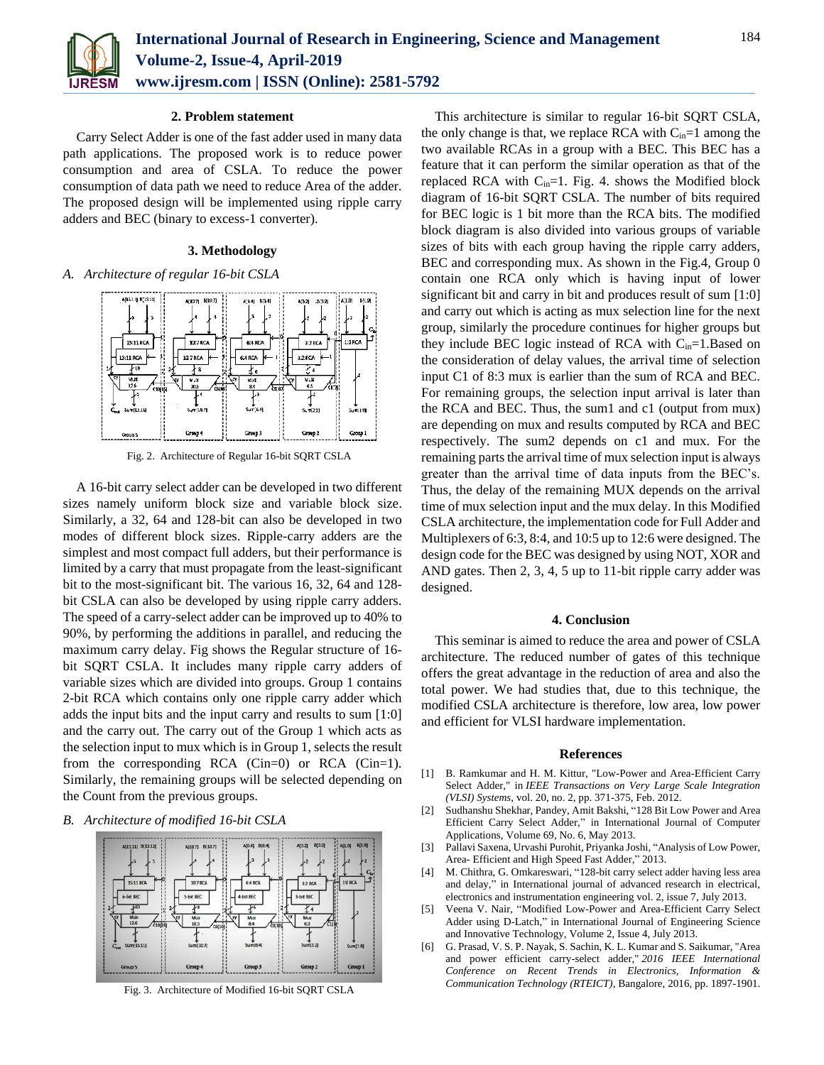

## **2. Problem statement**

Carry Select Adder is one of the fast adder used in many data path applications. The proposed work is to reduce power consumption and area of CSLA. To reduce the power consumption of data path we need to reduce Area of the adder. The proposed design will be implemented using ripple carry adders and BEC (binary to excess-1 converter).

## **3. Methodology**

*A. Architecture of regular 16-bit CSLA*



Fig. 2. Architecture of Regular 16-bit SQRT CSLA

A 16-bit carry select adder can be developed in two different sizes namely uniform block size and variable block size. Similarly, a 32, 64 and 128-bit can also be developed in two modes of different block sizes. Ripple-carry adders are the simplest and most compact full adders, but their performance is limited by a carry that must propagate from the least-significant bit to the most-significant bit. The various 16, 32, 64 and 128 bit CSLA can also be developed by using ripple carry adders. The speed of a carry-select adder can be improved up to 40% to 90%, by performing the additions in parallel, and reducing the maximum carry delay. Fig shows the Regular structure of 16 bit SQRT CSLA. It includes many ripple carry adders of variable sizes which are divided into groups. Group 1 contains 2-bit RCA which contains only one ripple carry adder which adds the input bits and the input carry and results to sum [1:0] and the carry out. The carry out of the Group 1 which acts as the selection input to mux which is in Group 1, selects the result from the corresponding RCA  $(Cin=0)$  or RCA  $(Cin=1)$ . Similarly, the remaining groups will be selected depending on the Count from the previous groups.

## *B. Architecture of modified 16-bit CSLA*



Fig. 3. Architecture of Modified 16-bit SQRT CSLA

This architecture is similar to regular 16-bit SQRT CSLA, the only change is that, we replace RCA with  $C_{in}=1$  among the two available RCAs in a group with a BEC. This BEC has a feature that it can perform the similar operation as that of the replaced RCA with  $C_{in}=1$ . Fig. 4. shows the Modified block diagram of 16-bit SQRT CSLA. The number of bits required for BEC logic is 1 bit more than the RCA bits. The modified block diagram is also divided into various groups of variable sizes of bits with each group having the ripple carry adders, BEC and corresponding mux. As shown in the Fig.4, Group 0 contain one RCA only which is having input of lower significant bit and carry in bit and produces result of sum [1:0] and carry out which is acting as mux selection line for the next group, similarly the procedure continues for higher groups but they include BEC logic instead of RCA with  $C_{in}=1$ . Based on the consideration of delay values, the arrival time of selection input C1 of 8:3 mux is earlier than the sum of RCA and BEC. For remaining groups, the selection input arrival is later than the RCA and BEC. Thus, the sum1 and c1 (output from mux) are depending on mux and results computed by RCA and BEC respectively. The sum2 depends on c1 and mux. For the remaining parts the arrival time of mux selection input is always greater than the arrival time of data inputs from the BEC's. Thus, the delay of the remaining MUX depends on the arrival time of mux selection input and the mux delay. In this Modified CSLA architecture, the implementation code for Full Adder and Multiplexers of 6:3, 8:4, and 10:5 up to 12:6 were designed. The design code for the BEC was designed by using NOT, XOR and AND gates. Then 2, 3, 4, 5 up to 11-bit ripple carry adder was designed.

### **4. Conclusion**

This seminar is aimed to reduce the area and power of CSLA architecture. The reduced number of gates of this technique offers the great advantage in the reduction of area and also the total power. We had studies that, due to this technique, the modified CSLA architecture is therefore, low area, low power and efficient for VLSI hardware implementation.

#### **References**

- [1] B. Ramkumar and H. M. Kittur, "Low-Power and Area-Efficient Carry Select Adder," in *IEEE Transactions on Very Large Scale Integration (VLSI) Systems*, vol. 20, no. 2, pp. 371-375, Feb. 2012.
- [2] Sudhanshu Shekhar, Pandey, Amit Bakshi, "128 Bit Low Power and Area Efficient Carry Select Adder," in International Journal of Computer Applications, Volume 69, No. 6, May 2013.
- [3] Pallavi Saxena, Urvashi Purohit, Priyanka Joshi, "Analysis of Low Power, Area- Efficient and High Speed Fast Adder," 2013.
- [4] M. Chithra, G. Omkareswari, "128-bit carry select adder having less area and delay," in International journal of advanced research in electrical, electronics and instrumentation engineering vol. 2, issue 7, July 2013.
- [5] Veena V. Nair, "Modified Low-Power and Area-Efficient Carry Select Adder using D-Latch," in International Journal of Engineering Science and Innovative Technology, Volume 2, Issue 4, July 2013.
- [6] G. Prasad, V. S. P. Nayak, S. Sachin, K. L. Kumar and S. Saikumar, "Area and power efficient carry-select adder," *2016 IEEE International Conference on Recent Trends in Electronics, Information & Communication Technology (RTEICT)*, Bangalore, 2016, pp. 1897-1901.